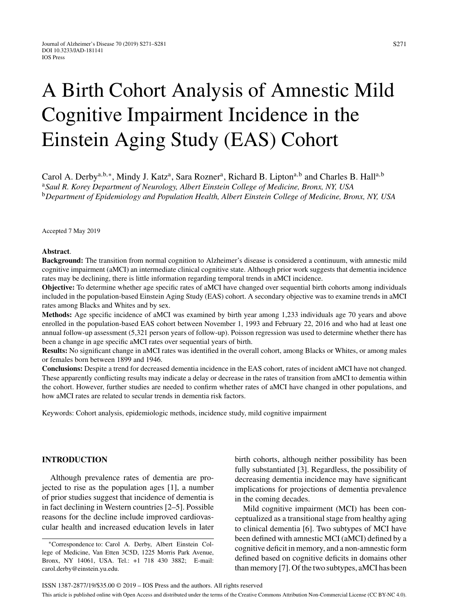S271

# A Birth Cohort Analysis of Amnestic Mild Cognitive Impairment Incidence in the Einstein Aging Study (EAS) Cohort

Carol A. Derby<sup>a,b,∗</sup>, Mindy J. Katz<sup>a</sup>, Sara Rozner<sup>a</sup>, Richard B. Lipton<sup>a,b</sup> and Charles B. Hall<sup>a,b</sup> <sup>a</sup>*Saul R. Korey Department of Neurology, Albert Einstein College of Medicine, Bronx, NY, USA* <sup>b</sup>*Department of Epidemiology and Population Health, Albert Einstein College of Medicine, Bronx, NY, USA*

Accepted 7 May 2019

#### **Abstract**.

**Background:** The transition from normal cognition to Alzheimer's disease is considered a continuum, with amnestic mild cognitive impairment (aMCI) an intermediate clinical cognitive state. Although prior work suggests that dementia incidence rates may be declining, there is little information regarding temporal trends in aMCI incidence.

**Objective:** To determine whether age specific rates of aMCI have changed over sequential birth cohorts among individuals included in the population-based Einstein Aging Study (EAS) cohort. A secondary objective was to examine trends in aMCI rates among Blacks and Whites and by sex.

**Methods:** Age specific incidence of aMCI was examined by birth year among 1,233 individuals age 70 years and above enrolled in the population-based EAS cohort between November 1, 1993 and February 22, 2016 and who had at least one annual follow-up assessment (5,321 person years of follow-up). Poisson regression was used to determine whether there has been a change in age specific aMCI rates over sequential years of birth.

**Results:** No significant change in aMCI rates was identified in the overall cohort, among Blacks or Whites, or among males or females born between 1899 and 1946.

**Conclusions:** Despite a trend for decreased dementia incidence in the EAS cohort, rates of incident aMCI have not changed. These apparently conflicting results may indicate a delay or decrease in the rates of transition from aMCI to dementia within the cohort. However, further studies are needed to confirm whether rates of aMCI have changed in other populations, and how aMCI rates are related to secular trends in dementia risk factors.

Keywords: Cohort analysis, epidemiologic methods, incidence study, mild cognitive impairment

## **INTRODUCTION**

Although prevalence rates of dementia are projected to rise as the population ages [1], a number of prior studies suggest that incidence of dementia is in fact declining in Western countries [2–5]. Possible reasons for the decline include improved cardiovascular health and increased education levels in later birth cohorts, although neither possibility has been fully substantiated [3]. Regardless, the possibility of decreasing dementia incidence may have significant implications for projections of dementia prevalence in the coming decades.

Mild cognitive impairment (MCI) has been conceptualized as a transitional stage from healthy aging to clinical dementia [6]. Two subtypes of MCI have been defined with amnestic MCI (aMCI) defined by a cognitive deficit in memory, and a non-amnestic form defined based on cognitive deficits in domains other than memory [7]. Of the two subtypes, aMCI has been

<sup>∗</sup>Correspondence to: Carol A. Derby, Albert Einstein College of Medicine, Van Etten 3C5D, 1225 Morris Park Avenue, Bronx, NY 14061, USA. Tel.: +1 718 430 3882; E-mail: [carol.derby@einstein.yu.edu.](mailto:carol.derby@einstein.yu.edu)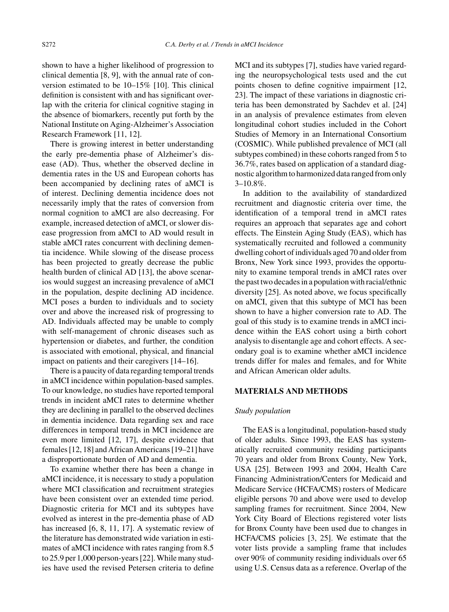shown to have a higher likelihood of progression to clinical dementia [8, 9], with the annual rate of conversion estimated to be 10–15% [10]. This clinical definition is consistent with and has significant overlap with the criteria for clinical cognitive staging in the absence of biomarkers, recently put forth by the National Institute on Aging-Alzheimer's Association Research Framework [11, 12].

There is growing interest in better understanding the early pre-dementia phase of Alzheimer's disease (AD). Thus, whether the observed decline in dementia rates in the US and European cohorts has been accompanied by declining rates of aMCI is of interest. Declining dementia incidence does not necessarily imply that the rates of conversion from normal cognition to aMCI are also decreasing. For example, increased detection of aMCI, or slower disease progression from aMCI to AD would result in stable aMCI rates concurrent with declining dementia incidence. While slowing of the disease process has been projected to greatly decrease the public health burden of clinical AD [13], the above scenarios would suggest an increasing prevalence of aMCI in the population, despite declining AD incidence. MCI poses a burden to individuals and to society over and above the increased risk of progressing to AD. Individuals affected may be unable to comply with self-management of chronic diseases such as hypertension or diabetes, and further, the condition is associated with emotional, physical, and financial impact on patients and their caregivers [14–16].

There is a paucity of data regarding temporal trends in aMCI incidence within population-based samples. To our knowledge, no studies have reported temporal trends in incident aMCI rates to determine whether they are declining in parallel to the observed declines in dementia incidence. Data regarding sex and race differences in temporal trends in MCI incidence are even more limited [12, 17], despite evidence that females [12, 18] and African Americans [19–21] have a disproportionate burden of AD and dementia.

To examine whether there has been a change in aMCI incidence, it is necessary to study a population where MCI classification and recruitment strategies have been consistent over an extended time period. Diagnostic criteria for MCI and its subtypes have evolved as interest in the pre-dementia phase of AD has increased [6, 8, 11, 17]. A systematic review of the literature has demonstrated wide variation in estimates of aMCI incidence with rates ranging from 8.5 to 25.9 per 1,000 person-years [22]. While many studies have used the revised Petersen criteria to define MCI and its subtypes [7], studies have varied regarding the neuropsychological tests used and the cut points chosen to define cognitive impairment [12, 23]. The impact of these variations in diagnostic criteria has been demonstrated by Sachdev et al. [24] in an analysis of prevalence estimates from eleven longitudinal cohort studies included in the Cohort Studies of Memory in an International Consortium (COSMIC). While published prevalence of MCI (all subtypes combined) in these cohorts ranged from 5 to 36.7%, rates based on application of a standard diagnostic algorithm to harmonized data ranged from only 3–10.8%.

In addition to the availability of standardized recruitment and diagnostic criteria over time, the identification of a temporal trend in aMCI rates requires an approach that separates age and cohort effects. The Einstein Aging Study (EAS), which has systematically recruited and followed a community dwelling cohort of individuals aged 70 and older from Bronx, New York since 1993, provides the opportunity to examine temporal trends in aMCI rates over the past two decades in a population with racial/ethnic diversity [25]. As noted above, we focus specifically on aMCI, given that this subtype of MCI has been shown to have a higher conversion rate to AD. The goal of this study is to examine trends in aMCI incidence within the EAS cohort using a birth cohort analysis to disentangle age and cohort effects. A secondary goal is to examine whether aMCI incidence trends differ for males and females, and for White and African American older adults.

## **MATERIALS AND METHODS**

## *Study population*

The EAS is a longitudinal, population-based study of older adults. Since 1993, the EAS has systematically recruited community residing participants 70 years and older from Bronx County, New York, USA [25]. Between 1993 and 2004, Health Care Financing Administration/Centers for Medicaid and Medicare Service (HCFA/CMS) rosters of Medicare eligible persons 70 and above were used to develop sampling frames for recruitment. Since 2004, New York City Board of Elections registered voter lists for Bronx County have been used due to changes in HCFA/CMS policies [3, 25]. We estimate that the voter lists provide a sampling frame that includes over 90% of community residing individuals over 65 using U.S. Census data as a reference. Overlap of the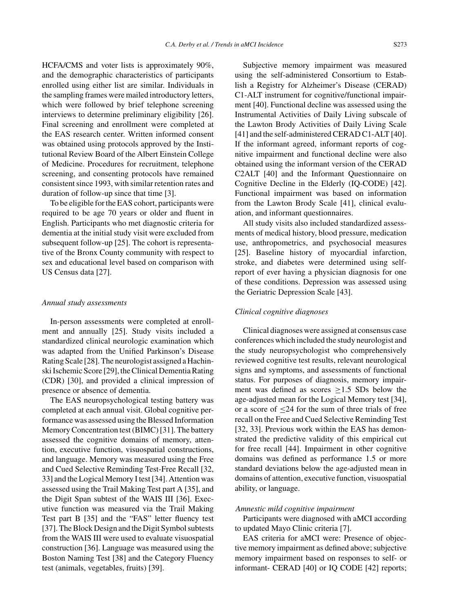HCFA/CMS and voter lists is approximately 90%, and the demographic characteristics of participants enrolled using either list are similar. Individuals in the sampling frames were mailed introductory letters, which were followed by brief telephone screening interviews to determine preliminary eligibility [26]. Final screening and enrollment were completed at the EAS research center. Written informed consent was obtained using protocols approved by the Institutional Review Board of the Albert Einstein College of Medicine. Procedures for recruitment, telephone screening, and consenting protocols have remained consistent since 1993, with similar retention rates and duration of follow-up since that time [3].

To be eligible for the EAS cohort, participants were required to be age 70 years or older and fluent in English. Participants who met diagnostic criteria for dementia at the initial study visit were excluded from subsequent follow-up [25]. The cohort is representative of the Bronx County community with respect to sex and educational level based on comparison with US Census data [27].

#### *Annual study assessments*

In-person assessments were completed at enrollment and annually [25]. Study visits included a standardized clinical neurologic examination which was adapted from the Unified Parkinson's Disease Rating Scale [28]. The neurologist assigned a Hachinski Ischemic Score [29], the Clinical Dementia Rating (CDR) [30], and provided a clinical impression of presence or absence of dementia.

The EAS neuropsychological testing battery was completed at each annual visit. Global cognitive performance was assessed using the Blessed Information Memory Concentration test (BIMC) [31]. The battery assessed the cognitive domains of memory, attention, executive function, visuospatial constructions, and language. Memory was measured using the Free and Cued Selective Reminding Test-Free Recall [32, 33] and the Logical Memory I test [34]. Attention was assessed using the Trail Making Test part A [35], and the Digit Span subtest of the WAIS III [36]. Executive function was measured via the Trail Making Test part B [35] and the "FAS" letter fluency test [37]. The Block Design and the Digit Symbol subtests from the WAIS III were used to evaluate visuospatial construction [36]. Language was measured using the Boston Naming Test [38] and the Category Fluency test (animals, vegetables, fruits) [39].

Subjective memory impairment was measured using the self-administered Consortium to Establish a Registry for Alzheimer's Disease (CERAD) C1-ALT instrument for cognitive/functional impairment [40]. Functional decline was assessed using the Instrumental Activities of Daily Living subscale of the Lawton Brody Activities of Daily Living Scale [41] and the self-administered CERAD C1-ALT [40]. If the informant agreed, informant reports of cognitive impairment and functional decline were also obtained using the informant version of the CERAD C2ALT [40] and the Informant Questionnaire on Cognitive Decline in the Elderly (IQ-CODE) [42]. Functional impairment was based on information from the Lawton Brody Scale [41], clinical evaluation, and informant questionnaires.

All study visits also included standardized assessments of medical history, blood pressure, medication use, anthropometrics, and psychosocial measures [25]. Baseline history of myocardial infarction, stroke, and diabetes were determined using selfreport of ever having a physician diagnosis for one of these conditions. Depression was assessed using the Geriatric Depression Scale [43].

#### *Clinical cognitive diagnoses*

Clinical diagnoses were assigned at consensus case conferences which included the study neurologist and the study neuropsychologist who comprehensively reviewed cognitive test results, relevant neurological signs and symptoms, and assessments of functional status. For purposes of diagnosis, memory impairment was defined as scores  $\geq$ 1.5 SDs below the age-adjusted mean for the Logical Memory test [34], or a score of ≤24 for the sum of three trials of free recall on the Free and Cued Selective Reminding Test [32, 33]. Previous work within the EAS has demonstrated the predictive validity of this empirical cut for free recall [44]. Impairment in other cognitive domains was defined as performance 1.5 or more standard deviations below the age-adjusted mean in domains of attention, executive function, visuospatial ability, or language.

#### *Amnestic mild cognitive impairment*

Participants were diagnosed with aMCI according to updated Mayo Clinic criteria [7].

EAS criteria for aMCI were: Presence of objective memory impairment as defined above; subjective memory impairment based on responses to self- or informant- CERAD [40] or IQ CODE [42] reports;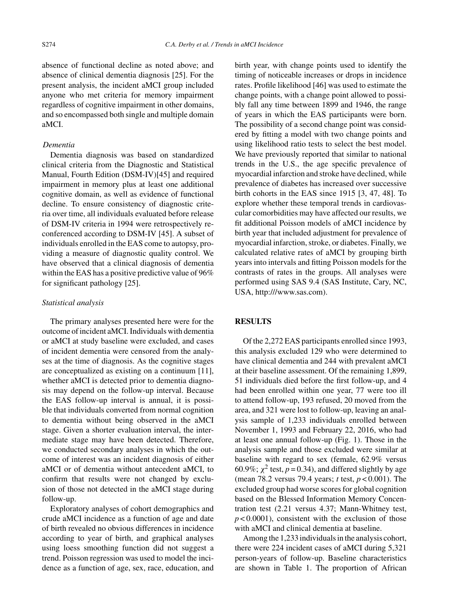absence of functional decline as noted above; and absence of clinical dementia diagnosis [25]. For the present analysis, the incident aMCI group included anyone who met criteria for memory impairment regardless of cognitive impairment in other domains, and so encompassed both single and multiple domain aMCI.

## *Dementia*

Dementia diagnosis was based on standardized clinical criteria from the Diagnostic and Statistical Manual, Fourth Edition (DSM-IV)[45] and required impairment in memory plus at least one additional cognitive domain, as well as evidence of functional decline. To ensure consistency of diagnostic criteria over time, all individuals evaluated before release of DSM-IV criteria in 1994 were retrospectively reconferenced according to DSM-IV [45]. A subset of individuals enrolled in the EAS come to autopsy, providing a measure of diagnostic quality control. We have observed that a clinical diagnosis of dementia within the EAS has a positive predictive value of 96% for significant pathology [25].

## *Statistical analysis*

The primary analyses presented here were for the outcome of incident aMCI. Individuals with dementia or aMCI at study baseline were excluded, and cases of incident dementia were censored from the analyses at the time of diagnosis. As the cognitive stages are conceptualized as existing on a continuum [11], whether aMCI is detected prior to dementia diagnosis may depend on the follow-up interval. Because the EAS follow-up interval is annual, it is possible that individuals converted from normal cognition to dementia without being observed in the aMCI stage. Given a shorter evaluation interval, the intermediate stage may have been detected. Therefore, we conducted secondary analyses in which the outcome of interest was an incident diagnosis of either aMCI or of dementia without antecedent aMCI, to confirm that results were not changed by exclusion of those not detected in the aMCI stage during follow-up.

Exploratory analyses of cohort demographics and crude aMCI incidence as a function of age and date of birth revealed no obvious differences in incidence according to year of birth, and graphical analyses using loess smoothing function did not suggest a trend. Poisson regression was used to model the incidence as a function of age, sex, race, education, and birth year, with change points used to identify the timing of noticeable increases or drops in incidence rates. Profile likelihood [46] was used to estimate the change points, with a change point allowed to possibly fall any time between 1899 and 1946, the range of years in which the EAS participants were born. The possibility of a second change point was considered by fitting a model with two change points and using likelihood ratio tests to select the best model. We have previously reported that similar to national trends in the U.S., the age specific prevalence of myocardial infarction and stroke have declined, while prevalence of diabetes has increased over successive birth cohorts in the EAS since 1915 [3, 47, 48]. To explore whether these temporal trends in cardiovascular comorbidities may have affected our results, we fit additional Poisson models of aMCI incidence by birth year that included adjustment for prevalence of myocardial infarction, stroke, or diabetes. Finally, we calculated relative rates of aMCI by grouping birth years into intervals and fitting Poisson models for the contrasts of rates in the groups. All analyses were performed using SAS 9.4 (SAS Institute, Cary, NC, USA, [http:///www.sas.com\)](http:///www.sas.com).

### **RESULTS**

Of the 2,272 EAS participants enrolled since 1993, this analysis excluded 129 who were determined to have clinical dementia and 244 with prevalent aMCI at their baseline assessment. Of the remaining 1,899, 51 individuals died before the first follow-up, and 4 had been enrolled within one year, 77 were too ill to attend follow-up, 193 refused, 20 moved from the area, and 321 were lost to follow-up, leaving an analysis sample of 1,233 individuals enrolled between November 1, 1993 and February 22, 2016, who had at least one annual follow-up (Fig. 1). Those in the analysis sample and those excluded were similar at baseline with regard to sex (female, 62.9% versus 60.9%;  $\chi^2$  test,  $p = 0.34$ ), and differed slightly by age (mean 78.2 versus 79.4 years; *t* test, *p* < 0.001). The excluded group had worse scores for global cognition based on the Blessed Information Memory Concentration test (2.21 versus 4.37; Mann-Whitney test,  $p < 0.0001$ ), consistent with the exclusion of those with aMCI and clinical dementia at baseline.

Among the 1,233 individuals in the analysis cohort, there were 224 incident cases of aMCI during 5,321 person-years of follow-up. Baseline characteristics are shown in Table 1. The proportion of African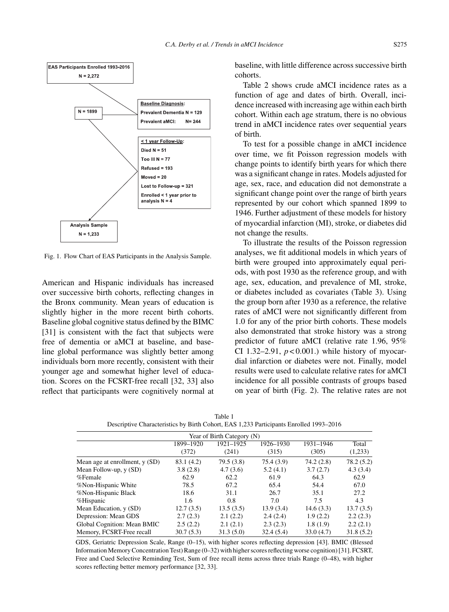

Fig. 1. Flow Chart of EAS Participants in the Analysis Sample.

American and Hispanic individuals has increased over successive birth cohorts, reflecting changes in the Bronx community. Mean years of education is slightly higher in the more recent birth cohorts. Baseline global cognitive status defined by the BIMC [31] is consistent with the fact that subjects were free of dementia or aMCI at baseline, and baseline global performance was slightly better among individuals born more recently, consistent with their younger age and somewhat higher level of education. Scores on the FCSRT-free recall [32, 33] also reflect that participants were cognitively normal at

baseline, with little difference across successive birth cohorts.

Table 2 shows crude aMCI incidence rates as a function of age and dates of birth. Overall, incidence increased with increasing age within each birth cohort. Within each age stratum, there is no obvious trend in aMCI incidence rates over sequential years of birth.

To test for a possible change in aMCI incidence over time, we fit Poisson regression models with change points to identify birth years for which there was a significant change in rates. Models adjusted for age, sex, race, and education did not demonstrate a significant change point over the range of birth years represented by our cohort which spanned 1899 to 1946. Further adjustment of these models for history of myocardial infarction (MI), stroke, or diabetes did not change the results.

To illustrate the results of the Poisson regression analyses, we fit additional models in which years of birth were grouped into approximately equal periods, with post 1930 as the reference group, and with age, sex, education, and prevalence of MI, stroke, or diabetes included as covariates (Table 3). Using the group born after 1930 as a reference, the relative rates of aMCI were not significantly different from 1.0 for any of the prior birth cohorts. These models also demonstrated that stroke history was a strong predictor of future aMCI (relative rate 1.96, 95% CI 1.32–2.91,  $p < 0.001$ .) while history of myocardial infarction or diabetes were not. Finally, model results were used to calculate relative rates for aMCI incidence for all possible contrasts of groups based on year of birth (Fig. 2). The relative rates are not

| Year of Birth Category (N)     |            |           |           |           |           |  |  |
|--------------------------------|------------|-----------|-----------|-----------|-----------|--|--|
|                                |            |           |           |           |           |  |  |
|                                | (372)      | (241)     | (315)     | (305)     | (1,233)   |  |  |
| Mean age at enrollment, y (SD) | 83.1 (4.2) | 79.5(3.8) | 75.4(3.9) | 74.2(2.8) | 78.2(5.2) |  |  |
| Mean Follow-up, y (SD)         | 3.8(2.8)   | 4.7(3.6)  | 5.2(4.1)  | 3.7(2.7)  | 4.3(3.4)  |  |  |
| %Female                        | 62.9       | 62.2      | 61.9      | 64.3      | 62.9      |  |  |
| %Non-Hispanic White            | 78.5       | 67.2      | 65.4      | 54.4      | 67.0      |  |  |
| %Non-Hispanic Black            | 18.6       | 31.1      | 26.7      | 35.1      | 27.2      |  |  |
| %Hispanic                      | 1.6        | 0.8       | 7.0       | 7.5       | 4.3       |  |  |
| Mean Education, y (SD)         | 12.7(3.5)  | 13.5(3.5) | 13.9(3.4) | 14.6(3.3) | 13.7(3.5) |  |  |
| Depression: Mean GDS           | 2.7(2.3)   | 2.1(2.2)  | 2.4(2.4)  | 1.9(2.2)  | 2.2(2.3)  |  |  |
| Global Cognition: Mean BMIC    | 2.5(2.2)   | 2.1(2.1)  | 2.3(2.3)  | 1.8(1.9)  | 2.2(2.1)  |  |  |
| Memory, FCSRT-Free recall      | 30.7 (5.3) | 31.3(5.0) | 32.4(5.4) | 33.0(4.7) | 31.8(5.2) |  |  |

Table 1 Descriptive Characteristics by Birth Cohort, EAS 1,233 Participants Enrolled 1993–2016

GDS, Geriatric Depression Scale, Range (0–15), with higher scores reflecting depression [43]. BMIC (Blessed Information Memory Concentration Test) Range (0–32) with higher scores reflecting worse cognition) [31]. FCSRT, Free and Cued Selective Reminding Test, Sum of free recall items across three trials Range (0–48), with higher scores reflecting better memory performance [32, 33].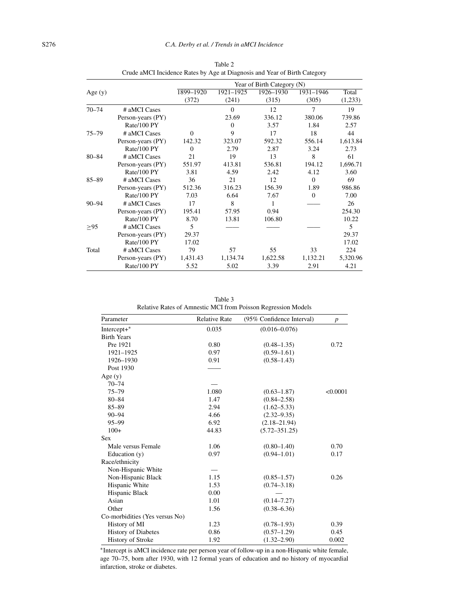|           |                   | Year of Birth Category (N) |           |           |           |          |
|-----------|-------------------|----------------------------|-----------|-----------|-----------|----------|
| Age $(y)$ |                   | 1899-1920                  | 1921-1925 | 1926-1930 | 1931-1946 | Total    |
|           |                   | (372)                      | (241)     | (315)     | (305)     | (1,233)  |
| $70 - 74$ | # aMCI Cases      |                            | $\theta$  | 12        | 7         | 19       |
|           | Person-years (PY) |                            | 23.69     | 336.12    | 380.06    | 739.86   |
|           | Rate/100 PY       |                            | $\Omega$  | 3.57      | 1.84      | 2.57     |
| $75 - 79$ | # aMCI Cases      | $\Omega$                   | 9         | 17        | 18        | 44       |
|           | Person-years (PY) | 142.32                     | 323.07    | 592.32    | 556.14    | 1,613.84 |
|           | Rate/100 PY       | $\Omega$                   | 2.79      | 2.87      | 3.24      | 2.73     |
| $80 - 84$ | # aMCI Cases      | 21                         | 19        | 13        | 8         | 61       |
|           | Person-years (PY) | 551.97                     | 413.81    | 536.81    | 194.12    | 1,696.71 |
|           | Rate/100 PY       | 3.81                       | 4.59      | 2.42      | 4.12      | 3.60     |
| $85 - 89$ | # aMCI Cases      | 36                         | 21        | 12        | $\Omega$  | 69       |
|           | Person-years (PY) | 512.36                     | 316.23    | 156.39    | 1.89      | 986.86   |
|           | Rate/100 PY       | 7.03                       | 6.64      | 7.67      | $\Omega$  | 7.00     |
| $90 - 94$ | # aMCI Cases      | 17                         | 8         | 1         |           | 26       |
|           | Person-years (PY) | 195.41                     | 57.95     | 0.94      |           | 254.30   |
|           | Rate/100 PY       | 8.70                       | 13.81     | 106.80    |           | 10.22    |
| >95       | # aMCI Cases      | 5                          |           |           |           | 5        |
|           | Person-years (PY) | 29.37                      |           |           |           | 29.37    |
|           | Rate/100 PY       | 17.02                      |           |           |           | 17.02    |
| Total     | # aMCI Cases      | 79                         | 57        | 55        | 33        | 224      |
|           | Person-years (PY) | 1,431.43                   | 1,134.74  | 1,622.58  | 1,132.21  | 5,320.96 |
|           | Rate/100 PY       | 5.52                       | 5.02      | 3.39      | 2.91      | 4.21     |

Table 2 Crude aMCI Incidence Rates by Age at Diagnosis and Year of Birth Category

Table 3 Relative Rates of Amnestic MCI from Poisson Regression Models

| Parameter                      | <b>Relative Rate</b> | (95% Confidence Interval) | $\boldsymbol{p}$ |  |
|--------------------------------|----------------------|---------------------------|------------------|--|
| $Intercept+$                   | 0.035                | $(0.016 - 0.076)$         |                  |  |
| <b>Birth Years</b>             |                      |                           |                  |  |
| Pre 1921                       | 0.80                 | $(0.48 - 1.35)$           | 0.72             |  |
| 1921-1925                      | 0.97                 | $(0.59 - 1.61)$           |                  |  |
| 1926-1930                      | 0.91                 | $(0.58 - 1.43)$           |                  |  |
| Post 1930                      |                      |                           |                  |  |
| Age $(y)$                      |                      |                           |                  |  |
| $70 - 74$                      |                      |                           |                  |  |
| $75 - 79$                      | 1.080                | $(0.63 - 1.87)$           | < 0.0001         |  |
| $80 - 84$                      | 1.47                 | $(0.84 - 2.58)$           |                  |  |
| $85 - 89$                      | 2.94                 | $(1.62 - 5.33)$           |                  |  |
| $90 - 94$                      | 4.66                 | $(2.32 - 9.35)$           |                  |  |
| $95 - 99$                      | 6.92                 | $(2.18 - 21.94)$          |                  |  |
| $100+$                         | 44.83                | $(5.72 - 351.25)$         |                  |  |
| <b>Sex</b>                     |                      |                           |                  |  |
| Male versus Female             | 1.06                 | $(0.80 - 1.40)$           | 0.70             |  |
| Education $(y)$                | 0.97                 | $(0.94 - 1.01)$           | 0.17             |  |
| Race/ethnicity                 |                      |                           |                  |  |
| Non-Hispanic White             |                      |                           |                  |  |
| Non-Hispanic Black             | 1.15                 | $(0.85 - 1.57)$           | 0.26             |  |
| Hispanic White                 | 1.53                 | $(0.74 - 3.18)$           |                  |  |
| Hispanic Black                 | 0.00                 |                           |                  |  |
| Asian                          | 1.01                 | $(0.14 - 7.27)$           |                  |  |
| Other                          | 1.56                 | $(0.38 - 6.36)$           |                  |  |
| Co-morbidities (Yes versus No) |                      |                           |                  |  |
| History of MI                  | 1.23                 | $(0.78 - 1.93)$           | 0.39             |  |
| <b>History of Diabetes</b>     | 0.86                 | $(0.57 - 1.29)$           | 0.45             |  |
| <b>History of Stroke</b>       | 1.92                 | $(1.32 - 2.90)$           | 0.002            |  |

∗Intercept is aMCI incidence rate per person year of follow-up in a non-Hispanic white female, age 70–75, born after 1930, with 12 formal years of education and no history of myocardial infarction, stroke or diabetes.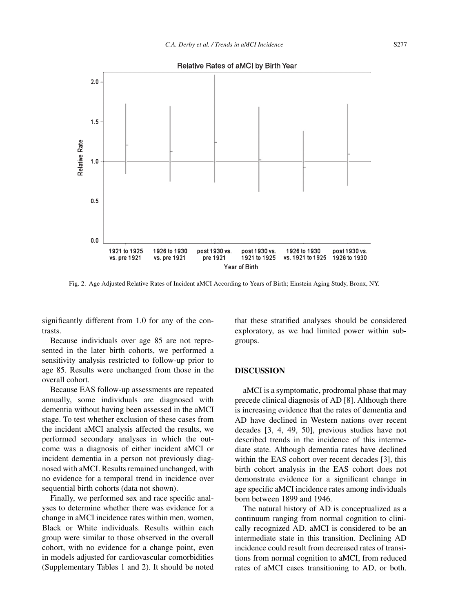



Fig. 2. Age Adjusted Relative Rates of Incident aMCI According to Years of Birth; Einstein Aging Study, Bronx, NY.

significantly different from 1.0 for any of the contrasts.

Because individuals over age 85 are not represented in the later birth cohorts, we performed a sensitivity analysis restricted to follow-up prior to age 85. Results were unchanged from those in the overall cohort.

Because EAS follow-up assessments are repeated annually, some individuals are diagnosed with dementia without having been assessed in the aMCI stage. To test whether exclusion of these cases from the incident aMCI analysis affected the results, we performed secondary analyses in which the outcome was a diagnosis of either incident aMCI or incident dementia in a person not previously diagnosed with aMCI. Results remained unchanged, with no evidence for a temporal trend in incidence over sequential birth cohorts (data not shown).

Finally, we performed sex and race specific analyses to determine whether there was evidence for a change in aMCI incidence rates within men, women, Black or White individuals. Results within each group were similar to those observed in the overall cohort, with no evidence for a change point, even in models adjusted for cardiovascular comorbidities (Supplementary Tables 1 and 2). It should be noted that these stratified analyses should be considered exploratory, as we had limited power within subgroups.

### **DISCUSSION**

aMCI is a symptomatic, prodromal phase that may precede clinical diagnosis of AD [8]. Although there is increasing evidence that the rates of dementia and AD have declined in Western nations over recent decades [3, 4, 49, 50], previous studies have not described trends in the incidence of this intermediate state. Although dementia rates have declined within the EAS cohort over recent decades [3], this birth cohort analysis in the EAS cohort does not demonstrate evidence for a significant change in age specific aMCI incidence rates among individuals born between 1899 and 1946.

The natural history of AD is conceptualized as a continuum ranging from normal cognition to clinically recognized AD. aMCI is considered to be an intermediate state in this transition. Declining AD incidence could result from decreased rates of transitions from normal cognition to aMCI, from reduced rates of aMCI cases transitioning to AD, or both.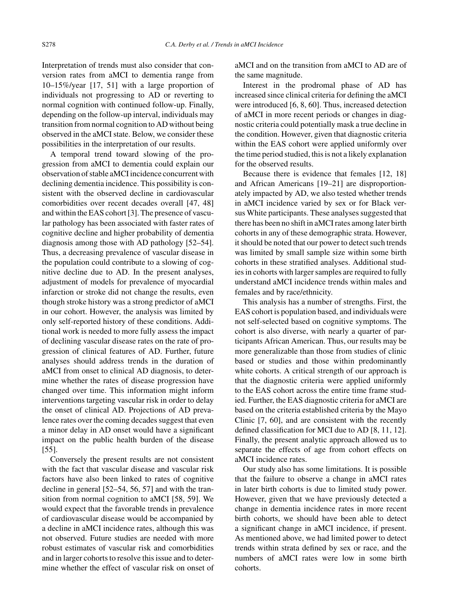Interpretation of trends must also consider that conversion rates from aMCI to dementia range from 10–15%/year [17, 51] with a large proportion of individuals not progressing to AD or reverting to normal cognition with continued follow-up. Finally, depending on the follow-up interval, individuals may transition from normal cognition to AD without being observed in the aMCI state. Below, we consider these possibilities in the interpretation of our results.

A temporal trend toward slowing of the progression from aMCI to dementia could explain our observation of stable aMCI incidence concurrent with declining dementia incidence. This possibility is consistent with the observed decline in cardiovascular comorbidities over recent decades overall [47, 48] and within the EAS cohort [3]. The presence of vascular pathology has been associated with faster rates of cognitive decline and higher probability of dementia diagnosis among those with AD pathology [52–54]. Thus, a decreasing prevalence of vascular disease in the population could contribute to a slowing of cognitive decline due to AD. In the present analyses, adjustment of models for prevalence of myocardial infarction or stroke did not change the results, even though stroke history was a strong predictor of aMCI in our cohort. However, the analysis was limited by only self-reported history of these conditions. Additional work is needed to more fully assess the impact of declining vascular disease rates on the rate of progression of clinical features of AD. Further, future analyses should address trends in the duration of aMCI from onset to clinical AD diagnosis, to determine whether the rates of disease progression have changed over time. This information might inform interventions targeting vascular risk in order to delay the onset of clinical AD. Projections of AD prevalence rates over the coming decades suggest that even a minor delay in AD onset would have a significant impact on the public health burden of the disease [55].

Conversely the present results are not consistent with the fact that vascular disease and vascular risk factors have also been linked to rates of cognitive decline in general [52–54, 56, 57] and with the transition from normal cognition to aMCI [58, 59]. We would expect that the favorable trends in prevalence of cardiovascular disease would be accompanied by a decline in aMCI incidence rates, although this was not observed. Future studies are needed with more robust estimates of vascular risk and comorbidities and in larger cohorts to resolve this issue and to determine whether the effect of vascular risk on onset of

aMCI and on the transition from aMCI to AD are of the same magnitude.

Interest in the prodromal phase of AD has increased since clinical criteria for defining the aMCI were introduced [6, 8, 60]. Thus, increased detection of aMCI in more recent periods or changes in diagnostic criteria could potentially mask a true decline in the condition. However, given that diagnostic criteria within the EAS cohort were applied uniformly over the time period studied, this is not a likely explanation for the observed results.

Because there is evidence that females [12, 18] and African Americans [19–21] are disproportionately impacted by AD, we also tested whether trends in aMCI incidence varied by sex or for Black versus White participants. These analyses suggested that there has been no shift in aMCI rates among later birth cohorts in any of these demographic strata. However, it should be noted that our power to detect such trends was limited by small sample size within some birth cohorts in these stratified analyses. Additional studies in cohorts with larger samples are required to fully understand aMCI incidence trends within males and females and by race/ethnicity.

This analysis has a number of strengths. First, the EAS cohort is population based, and individuals were not self-selected based on cognitive symptoms. The cohort is also diverse, with nearly a quarter of participants African American. Thus, our results may be more generalizable than those from studies of clinic based or studies and those within predominantly white cohorts. A critical strength of our approach is that the diagnostic criteria were applied uniformly to the EAS cohort across the entire time frame studied. Further, the EAS diagnostic criteria for aMCI are based on the criteria established criteria by the Mayo Clinic [7, 60], and are consistent with the recently defined classification for MCI due to AD [8, 11, 12]. Finally, the present analytic approach allowed us to separate the effects of age from cohort effects on aMCI incidence rates.

Our study also has some limitations. It is possible that the failure to observe a change in aMCI rates in later birth cohorts is due to limited study power. However, given that we have previously detected a change in dementia incidence rates in more recent birth cohorts, we should have been able to detect a significant change in aMCI incidence, if present. As mentioned above, we had limited power to detect trends within strata defined by sex or race, and the numbers of aMCI rates were low in some birth cohorts.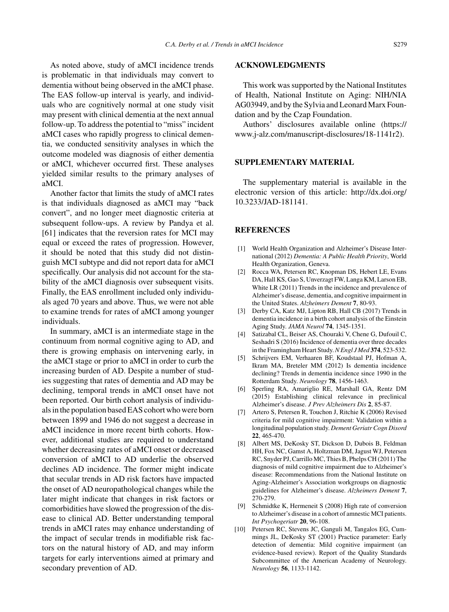As noted above, study of aMCI incidence trends is problematic in that individuals may convert to dementia without being observed in the aMCI phase. The EAS follow-up interval is yearly, and individuals who are cognitively normal at one study visit may present with clinical dementia at the next annual follow-up. To address the potential to "miss" incident aMCI cases who rapidly progress to clinical dementia, we conducted sensitivity analyses in which the outcome modeled was diagnosis of either dementia or aMCI, whichever occurred first. These analyses yielded similar results to the primary analyses of aMCI.

Another factor that limits the study of aMCI rates is that individuals diagnosed as aMCI may "back convert", and no longer meet diagnostic criteria at subsequent follow-ups. A review by Pandya et al. [61] indicates that the reversion rates for MCI may equal or exceed the rates of progression. However, it should be noted that this study did not distinguish MCI subtype and did not report data for aMCI specifically. Our analysis did not account for the stability of the aMCI diagnosis over subsequent visits. Finally, the EAS enrollment included only individuals aged 70 years and above. Thus, we were not able to examine trends for rates of aMCI among younger individuals.

In summary, aMCI is an intermediate stage in the continuum from normal cognitive aging to AD, and there is growing emphasis on intervening early, in the aMCI stage or prior to aMCI in order to curb the increasing burden of AD. Despite a number of studies suggesting that rates of dementia and AD may be declining, temporal trends in aMCI onset have not been reported. Our birth cohort analysis of individuals in the population based EAS cohort who were born between 1899 and 1946 do not suggest a decrease in aMCI incidence in more recent birth cohorts. However, additional studies are required to understand whether decreasing rates of aMCI onset or decreased conversion of aMCI to AD underlie the observed declines AD incidence. The former might indicate that secular trends in AD risk factors have impacted the onset of AD neuropathological changes while the later might indicate that changes in risk factors or comorbidities have slowed the progression of the disease to clinical AD. Better understanding temporal trends in aMCI rates may enhance understanding of the impact of secular trends in modifiable risk factors on the natural history of AD, and may inform targets for early interventions aimed at primary and secondary prevention of AD.

#### **ACKNOWLEDGMENTS**

This work was supported by the National Institutes of Health, National Institute on Aging: NIH/NIA AG03949, and by the Sylvia and Leonard Marx Foundation and by the Czap Foundation.

Authors' disclosures available online [\(https://](https://www.j-alz.com/manuscript-disclosures/18-1141r2) [www.j-alz.com/manuscript-disclosures/18-1141r2\)](https://www.j-alz.com/manuscript-disclosures/18-1141r2).

# **SUPPLEMENTARY MATERIAL**

The supplementary material is available in the electronic version of this article: [http://dx.doi.org/](http://dx.doi.org/10.3233/JAD-181141) [10.3233/JAD-181141.](http://dx.doi.org/10.3233/JAD-181141)

#### **REFERENCES**

- [1] World Health Organization and Alzheimer's Disease International (2012) *Dementia: A Public Health Priority*, World Health Organization, Geneva.
- [2] Rocca WA, Petersen RC, Knopman DS, Hebert LE, Evans DA, Hall KS, Gao S, Unverzagt FW, Langa KM, Larson EB, White LR (2011) Trends in the incidence and prevalence of Alzheimer's disease, dementia, and cognitive impairment in the United States. *Alzheimers Dement* **7**, 80-93.
- [3] Derby CA, Katz MJ, Lipton RB, Hall CB (2017) Trends in dementia incidence in a birth cohort analysis of the Einstein Aging Study. *JAMA Neurol* **74**, 1345-1351.
- [4] Satizabal CL, Beiser AS, Chouraki V, Chene G, Dufouil C, Seshadri S (2016) Incidence of dementia over three decades in the Framingham Heart Study.*N Engl J Med* **374**, 523-532.
- [5] Schrijvers EM, Verhaaren BF, Koudstaal PJ, Hofman A, Ikram MA, Breteler MM (2012) Is dementia incidence declining? Trends in dementia incidence since 1990 in the Rotterdam Study. *Neurology* **78**, 1456-1463.
- [6] Sperling RA, Amariglio RE, Marshall GA, Rentz DM (2015) Establishing clinical relevance in preclinical Alzheimer's disease. *J Prev Alzheimers Dis* **2**, 85-87.
- [7] Artero S, Petersen R, Touchon J, Ritchie K (2006) Revised criteria for mild cognitive impairment: Validation within a longitudinal population study. *Dement Geriatr Cogn Disord* **22**, 465-470.
- [8] Albert MS, DeKosky ST, Dickson D, Dubois B, Feldman HH, Fox NC, Gamst A, Holtzman DM, Jagust WJ, Petersen RC, Snyder PJ, Carrillo MC, Thies B, Phelps CH (2011) The diagnosis of mild cognitive impairment due to Alzheimer's disease: Recommendations from the National Institute on Aging-Alzheimer's Association workgroups on diagnostic guidelines for Alzheimer's disease. *Alzheimers Dement* **7**, 270-279.
- [9] Schmidtke K, Hermeneit S (2008) High rate of conversion to Alzheimer's disease in a cohort of amnestic MCI patients. *Int Psychogeriatr* **20**, 96-108.
- [10] Petersen RC, Stevens JC, Ganguli M, Tangalos EG, Cummings JL, DeKosky ST (2001) Practice parameter: Early detection of dementia: Mild cognitive impairment (an evidence-based review). Report of the Quality Standards Subcommittee of the American Academy of Neurology. *Neurology* **56**, 1133-1142.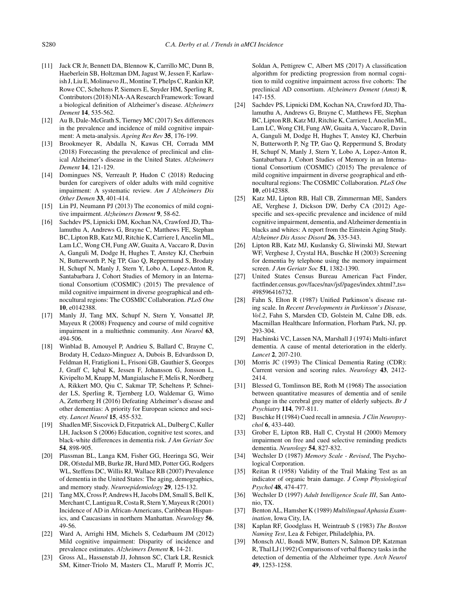- [11] Jack CR Jr, Bennett DA, Blennow K, Carrillo MC, Dunn B, Haeberlein SB, Holtzman DM, Jagust W, Jessen F, Karlawish J, Liu E, Molinuevo JL, Montine T, Phelps C, Rankin KP, Rowe CC, Scheltens P, Siemers E, Snyder HM, Sperling R, Contributors (2018) NIA-AA Research Framework: Toward a biological definition of Alzheimer's disease. *Alzheimers Dement* **14**, 535-562.
- [12] Au B, Dale-McGrath S, Tierney MC (2017) Sex differences in the prevalence and incidence of mild cognitive impairment: A meta-analysis. *Ageing Res Rev* **35**, 176-199.
- [13] Brookmeyer R, Abdalla N, Kawas CH, Corrada MM (2018) Forecasting the prevalence of preclinical and clinical Alzheimer's disease in the United States. *Alzheimers Dement* **14**, 121-129.
- [14] Domingues NS, Verreault P, Hudon C (2018) Reducing burden for caregivers of older adults with mild cognitive impairment: A systematic review. *Am J Alzheimers Dis Other Demen* **33**, 401-414.
- [15] Lin PJ, Neumann PJ (2013) The economics of mild cognitive impairment. *Alzheimers Dement* **9**, 58-62.
- [16] Sachdev PS, Lipnicki DM, Kochan NA, Crawford JD, Thalamuthu A, Andrews G, Brayne C, Matthews FE, Stephan BC, Lipton RB, Katz MJ, Ritchie K, Carriere I, Ancelin ML, Lam LC, Wong CH, Fung AW, Guaita A, Vaccaro R, Davin A, Ganguli M, Dodge H, Hughes T, Anstey KJ, Cherbuin N, Butterworth P, Ng TP, Gao Q, Reppermund S, Brodaty H, Schupf N, Manly J, Stern Y, Lobo A, Lopez-Anton R, Santabarbara J, Cohort Studies of Memory in an International Consortium (COSMIC) (2015) The prevalence of mild cognitive impairment in diverse geographical and ethnocultural regions: The COSMIC Collaboration. *PLoS One* **10**, e0142388.
- [17] Manly JJ, Tang MX, Schupf N, Stern Y, Vonsattel JP, Mayeux R (2008) Frequency and course of mild cognitive impairment in a multiethnic community. *Ann Neurol* **63**, 494-506.
- [18] Winblad B, Amouyel P, Andrieu S, Ballard C, Brayne C, Brodaty H, Cedazo-Minguez A, Dubois B, Edvardsson D, Feldman H, Fratiglioni L, Frisoni GB, Gauthier S, Georges J, Graff C, Iqbal K, Jessen F, Johansson G, Jonsson L, Kivipelto M, Knapp M, Mangialasche F, Melis R, Nordberg A, Rikkert MO, Qiu C, Sakmar TP, Scheltens P, Schneider LS, Sperling R, Tjernberg LO, Waldemar G, Wimo A, Zetterberg H (2016) Defeating Alzheimer's disease and other dementias: A priority for European science and society. *Lancet Neurol* **15**, 455-532.
- [19] Shadlen MF, Siscovick D, Fitzpatrick AL, Dulberg C, Kuller LH, Jackson S (2006) Education, cognitive test scores, and black-white differences in dementia risk. *J Am Geriatr Soc* **54**, 898-905.
- [20] Plassman BL, Langa KM, Fisher GG, Heeringa SG, Weir DR, Ofstedal MB, Burke JR, Hurd MD, Potter GG, Rodgers WL, Steffens DC, Willis RJ, Wallace RB (2007) Prevalence of dementia in the United States: The aging, demographics, and memory study. *Neuroepidemiology* **29**, 125-132.
- [21] Tang MX, Cross P, Andrews H, Jacobs DM, Small S, Bell K, Merchant C, Lantigua R, Costa R, Stern Y, Mayeux R (2001) Incidence of AD in African-Americans, Caribbean Hispanics, and Caucasians in northern Manhattan. *Neurology* **56**, 49-56.
- [22] Ward A, Arrighi HM, Michels S, Cedarbaum JM (2012) Mild cognitive impairment: Disparity of incidence and prevalence estimates. *Alzheimers Dement* **8**, 14-21.
- [23] Gross AL, Hassenstab JJ, Johnson SC, Clark LR, Resnick SM, Kitner-Triolo M, Masters CL, Maruff P, Morris JC,

Soldan A, Pettigrew C, Albert MS (2017) A classification algorithm for predicting progression from normal cognition to mild cognitive impairment across five cohorts: The preclinical AD consortium. *Alzheimers Dement (Amst)* **8**, 147-155.

- [24] Sachdev PS, Lipnicki DM, Kochan NA, Crawford JD, Thalamuthu A, Andrews G, Brayne C, Matthews FE, Stephan BC, Lipton RB, Katz MJ, Ritchie K, Carriere I, Ancelin ML, Lam LC, Wong CH, Fung AW, Guaita A, Vaccaro R, Davin A, Ganguli M, Dodge H, Hughes T, Anstey KJ, Cherbuin N, Butterworth P, Ng TP, Gao Q, Reppermund S, Brodaty H, Schupf N, Manly J, Stern Y, Lobo A, Lopez-Anton R, Santabarbara J, Cohort Studies of Memory in an International Consortium (COSMIC) (2015) The prevalence of mild cognitive impairment in diverse geographical and ethnocultural regions: The COSMIC Collaboration. *PLoS One* **10**, e0142388.
- [25] Katz MJ, Lipton RB, Hall CB, Zimmerman ME, Sanders AE, Verghese J, Dickson DW, Derby CA (2012) Agespecific and sex-specific prevalence and incidence of mild cognitive impairment, dementia, and Alzheimer dementia in blacks and whites: A report from the Einstein Aging Study. *Alzheimer Dis Assoc Disord* **26**, 335-343.
- [26] Lipton RB, Katz MJ, Kuslansky G, Sliwinski MJ, Stewart WF, Verghese J, Crystal HA, Buschke H (2003) Screening for dementia by telephone using the memory impairment screen. *J Am Geriatr Soc* **51**, 1382-1390.
- [27] United States Census Bureau American Fact Finder, factfinder.census.gov/faces/nav/jsf/pages/index.xhtml? ts= 498596416732.
- [28] Fahn S, Elton R (1987) Unified Parkinson's disease rating scale. In *Recent Developments in Parkinson*'*s Disease, Vol.2*, Fahn S, Marsden CD, Golstein M, Calne DB, eds. Macmillan Healthcare Information, Florham Park, NJ, pp. 293-304.
- [29] Hachinski VC, Lassen NA, Marshall J (1974) Multi-infarct dementia. A cause of mental deterioration in the elderly. *Lancet* **2**, 207-210.
- [30] Morris JC (1993) The Clinical Dementia Rating (CDR): Current version and scoring rules. *Neurology* **43**, 2412- 2414.
- [31] Blessed G, Tomlinson BE, Roth M (1968) The association between quantitative measures of dementia and of senile change in the cerebral grey matter of elderly subjects. *Br J Psychiatry* **114**, 797-811.
- [32] Buschke H (1984) Cued recall in amnesia. *J Clin Neuropsychol* **6**, 433-440.
- [33] Grober E, Lipton RB, Hall C, Crystal H (2000) Memory impairment on free and cued selective reminding predicts dementia. *Neurology* **54**, 827-832.
- [34] Wechsler D (1987) *Memory Scale Revised*, The Psychological Corporation.
- [35] Reitan R (1958) Validity of the Trail Making Test as an indicator of organic brain damage. *J Comp Physiological Psychol* **48**, 474-477.
- [36] Wechsler D (1997) *Adult Intelligence Scale III*, San Antonio, TX.
- [37] Benton AL, Hamsher K (1989) *Multilingual Aphasia Examination*, Iowa City, IA.
- [38] Kaplan RF, Goodglass H, Weintraub S (1983) *The Boston Naming Test*, Lea & Febiger, Philadelphia, PA.
- [39] Monsch AU, Bondi MW, Butters N, Salmon DP, Katzman R, Thal LJ (1992) Comparisons of verbal fluency tasks in the detection of dementia of the Alzheimer type. *Arch Neurol* **49**, 1253-1258.